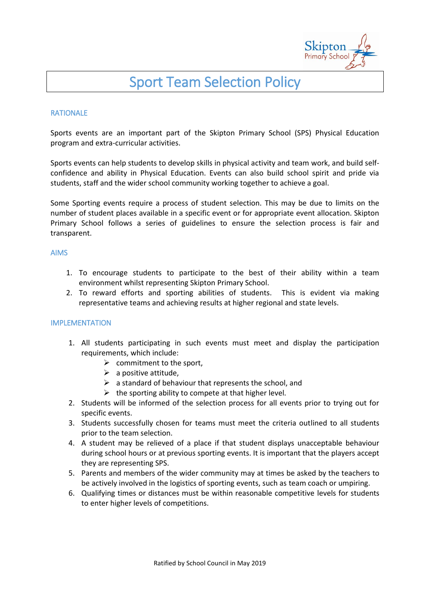

# Sport Team Selection Policy

#### RATIONALE

Sports events are an important part of the Skipton Primary School (SPS) Physical Education program and extra-curricular activities.

Sports events can help students to develop skills in physical activity and team work, and build selfconfidence and ability in Physical Education. Events can also build school spirit and pride via students, staff and the wider school community working together to achieve a goal.

Some Sporting events require a process of student selection. This may be due to limits on the number of student places available in a specific event or for appropriate event allocation. Skipton Primary School follows a series of guidelines to ensure the selection process is fair and transparent.

#### AIMS

- 1. To encourage students to participate to the best of their ability within a team environment whilst representing Skipton Primary School.
- 2. To reward efforts and sporting abilities of students. This is evident via making representative teams and achieving results at higher regional and state levels.

#### IMPLEMENTATION

- 1. All students participating in such events must meet and display the participation requirements, which include:
	- $\triangleright$  commitment to the sport,
	- $\triangleright$  a positive attitude.
	- $\triangleright$  a standard of behaviour that represents the school, and
	- $\triangleright$  the sporting ability to compete at that higher level.
- 2. Students will be informed of the selection process for all events prior to trying out for specific events.
- 3. Students successfully chosen for teams must meet the criteria outlined to all students prior to the team selection.
- 4. A student may be relieved of a place if that student displays unacceptable behaviour during school hours or at previous sporting events. It is important that the players accept they are representing SPS.
- 5. Parents and members of the wider community may at times be asked by the teachers to be actively involved in the logistics of sporting events, such as team coach or umpiring.
- 6. Qualifying times or distances must be within reasonable competitive levels for students to enter higher levels of competitions.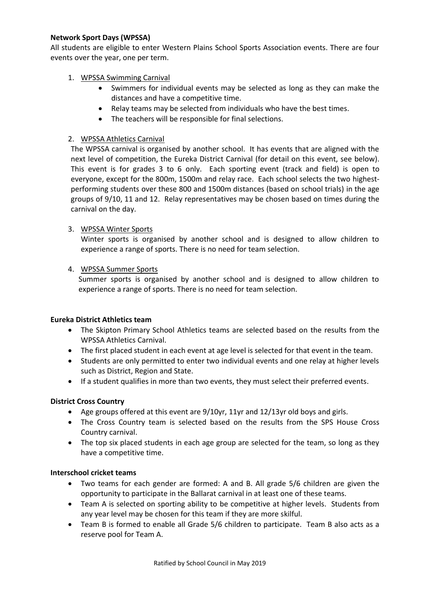# **Network Sport Days (WPSSA)**

All students are eligible to enter Western Plains School Sports Association events. There are four events over the year, one per term.

# 1. WPSSA Swimming Carnival

- Swimmers for individual events may be selected as long as they can make the distances and have a competitive time.
- Relay teams may be selected from individuals who have the best times.
- The teachers will be responsible for final selections.

## 2. WPSSA Athletics Carnival

The WPSSA carnival is organised by another school. It has events that are aligned with the next level of competition, the Eureka District Carnival (for detail on this event, see below). This event is for grades 3 to 6 only. Each sporting event (track and field) is open to everyone, except for the 800m, 1500m and relay race. Each school selects the two highestperforming students over these 800 and 1500m distances (based on school trials) in the age groups of 9/10, 11 and 12. Relay representatives may be chosen based on times during the carnival on the day.

## 3. WPSSA Winter Sports

Winter sports is organised by another school and is designed to allow children to experience a range of sports. There is no need for team selection.

# 4. WPSSA Summer Sports

Summer sports is organised by another school and is designed to allow children to experience a range of sports. There is no need for team selection.

## **Eureka District Athletics team**

- The Skipton Primary School Athletics teams are selected based on the results from the WPSSA Athletics Carnival.
- The first placed student in each event at age level is selected for that event in the team.
- Students are only permitted to enter two individual events and one relay at higher levels such as District, Region and State.
- If a student qualifies in more than two events, they must select their preferred events.

## **District Cross Country**

- Age groups offered at this event are 9/10yr, 11yr and 12/13yr old boys and girls.
- The Cross Country team is selected based on the results from the SPS House Cross Country carnival.
- The top six placed students in each age group are selected for the team, so long as they have a competitive time.

## **Interschool cricket teams**

- Two teams for each gender are formed: A and B. All grade 5/6 children are given the opportunity to participate in the Ballarat carnival in at least one of these teams.
- Team A is selected on sporting ability to be competitive at higher levels. Students from any year level may be chosen for this team if they are more skilful.
- Team B is formed to enable all Grade 5/6 children to participate. Team B also acts as a reserve pool for Team A.